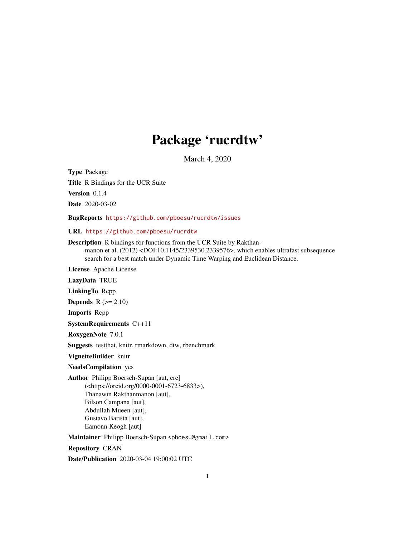## Package 'rucrdtw'

March 4, 2020

<span id="page-0-0"></span>Type Package Title R Bindings for the UCR Suite Version 0.1.4

Date 2020-03-02

BugReports <https://github.com/pboesu/rucrdtw/issues>

URL <https://github.com/pboesu/rucrdtw>

Description R bindings for functions from the UCR Suite by Rakthanmanon et al. (2012) <DOI:10.1145/2339530.2339576>, which enables ultrafast subsequence search for a best match under Dynamic Time Warping and Euclidean Distance.

License Apache License

LazyData TRUE

LinkingTo Rcpp

**Depends**  $R$  ( $>= 2.10$ )

Imports Rcpp

SystemRequirements C++11

RoxygenNote 7.0.1

Suggests testthat, knitr, rmarkdown, dtw, rbenchmark

VignetteBuilder knitr

NeedsCompilation yes

Author Philipp Boersch-Supan [aut, cre] (<https://orcid.org/0000-0001-6723-6833>), Thanawin Rakthanmanon [aut], Bilson Campana [aut], Abdullah Mueen [aut], Gustavo Batista [aut], Eamonn Keogh [aut]

Maintainer Philipp Boersch-Supan <pboesu@gmail.com>

Repository CRAN

Date/Publication 2020-03-04 19:00:02 UTC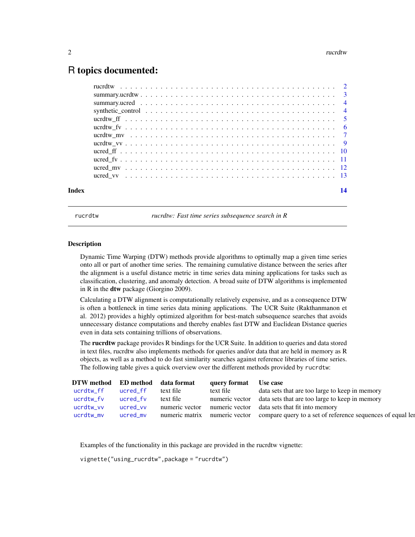### <span id="page-1-0"></span>R topics documented:

| Index | 14 |
|-------|----|
|       |    |
|       |    |
|       |    |
|       |    |
|       |    |
|       |    |
|       |    |
|       |    |
|       |    |
|       |    |
|       |    |
|       |    |

rucrdtw *rucrdtw: Fast time series subsequence search in R*

#### Description

Dynamic Time Warping (DTW) methods provide algorithms to optimally map a given time series onto all or part of another time series. The remaining cumulative distance between the series after the alignment is a useful distance metric in time series data mining applications for tasks such as classification, clustering, and anomaly detection. A broad suite of DTW algorithms is implemented in R in the dtw package (Giorgino 2009).

Calculating a DTW alignment is computationally relatively expensive, and as a consequence DTW is often a bottleneck in time series data mining applications. The UCR Suite (Rakthanmanon et al. 2012) provides a highly optimized algorithm for best-match subsequence searches that avoids unnecessary distance computations and thereby enables fast DTW and Euclidean Distance queries even in data sets containing trillions of observations.

The **rucrdtw** package provides R bindings for the UCR Suite. In addition to queries and data stored in text files, rucrdtw also implements methods for queries and/or data that are held in memory as R objects, as well as a method to do fast similarity searches against reference libraries of time series. The following table gives a quick overview over the different methods provided by rucrdtw:

| DTW method ED method data format |          |                | query format | Use case                                                                                 |
|----------------------------------|----------|----------------|--------------|------------------------------------------------------------------------------------------|
| ucrdtw ff                        | ucred ff | text file      | text file    | data sets that are too large to keep in memory                                           |
| ucrdtw_fv                        | ucred fv | text file      |              | numeric vector data sets that are too large to keep in memory                            |
| ucrdtw_vv                        | ucred vv | numeric vector |              | numeric vector data sets that fit into memory                                            |
| ucrdtw mv                        | ucred_mv |                |              | numeric matrix numeric vector compare query to a set of reference sequences of equal let |

Examples of the functionality in this package are provided in the rucrdtw vignette:

```
vignette("using_rucrdtw",package = "rucrdtw")
```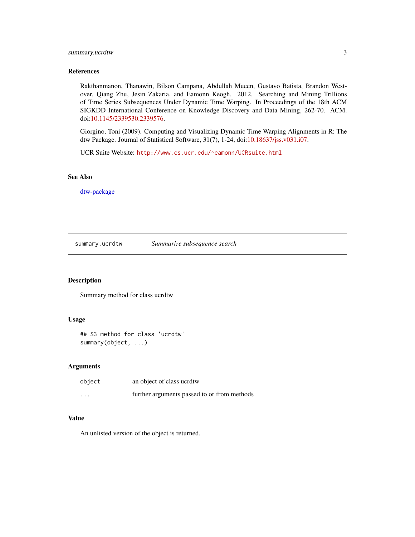#### <span id="page-2-0"></span>summary.ucrdtw 3

#### References

Rakthanmanon, Thanawin, Bilson Campana, Abdullah Mueen, Gustavo Batista, Brandon Westover, Qiang Zhu, Jesin Zakaria, and Eamonn Keogh. 2012. Searching and Mining Trillions of Time Series Subsequences Under Dynamic Time Warping. In Proceedings of the 18th ACM SIGKDD International Conference on Knowledge Discovery and Data Mining, 262-70. ACM. doi[:10.1145/2339530.2339576.](http://dx.doi.org/10.1145/2339530.2339576)

Giorgino, Toni (2009). Computing and Visualizing Dynamic Time Warping Alignments in R: The dtw Package. Journal of Statistical Software, 31(7), 1-24, doi[:10.18637/jss.v031.i07.](http://dx.doi.org/10.18637/jss.v031.i07)

UCR Suite Website: <http://www.cs.ucr.edu/~eamonn/UCRsuite.html>

#### See Also

[dtw-package](#page-0-0)

summary.ucrdtw *Summarize subsequence search*

#### Description

Summary method for class ucrdtw

#### Usage

```
## S3 method for class 'ucrdtw'
summary(object, ...)
```
#### Arguments

| object                  | an object of class ucrdtw                   |
|-------------------------|---------------------------------------------|
| $\cdot$ $\cdot$ $\cdot$ | further arguments passed to or from methods |

#### Value

An unlisted version of the object is returned.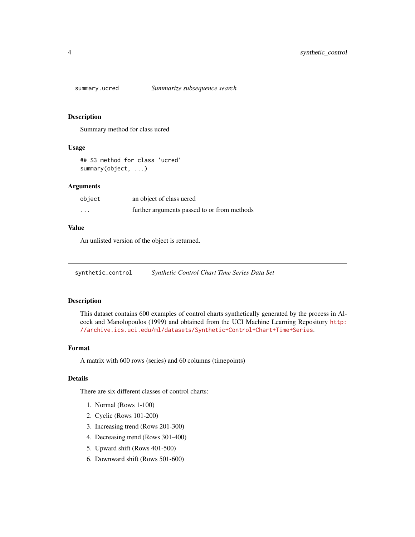<span id="page-3-0"></span>

Summary method for class ucred

#### Usage

## S3 method for class 'ucred' summary(object, ...)

#### Arguments

| object   | an object of class ucred                    |
|----------|---------------------------------------------|
| $\cdots$ | further arguments passed to or from methods |

#### Value

An unlisted version of the object is returned.

synthetic\_control *Synthetic Control Chart Time Series Data Set*

#### Description

This dataset contains 600 examples of control charts synthetically generated by the process in Alcock and Manolopoulos (1999) and obtained from the UCI Machine Learning Repository [http:](http://archive.ics.uci.edu/ml/datasets/Synthetic+Control+Chart+Time+Series) [//archive.ics.uci.edu/ml/datasets/Synthetic+Control+Chart+Time+Series](http://archive.ics.uci.edu/ml/datasets/Synthetic+Control+Chart+Time+Series).

#### Format

A matrix with 600 rows (series) and 60 columns (timepoints)

#### Details

There are six different classes of control charts:

- 1. Normal (Rows 1-100)
- 2. Cyclic (Rows 101-200)
- 3. Increasing trend (Rows 201-300)
- 4. Decreasing trend (Rows 301-400)
- 5. Upward shift (Rows 401-500)
- 6. Downward shift (Rows 501-600)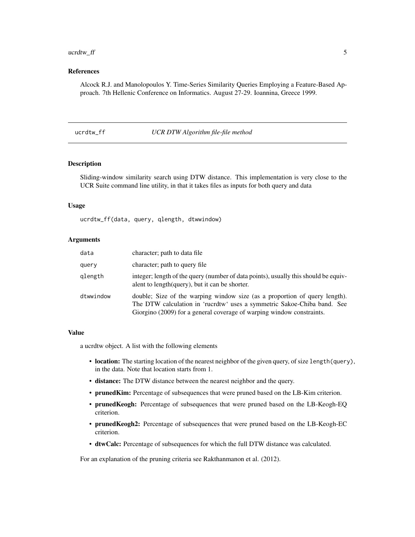#### <span id="page-4-0"></span> $ucrdtw\_ff$  5

#### References

Alcock R.J. and Manolopoulos Y. Time-Series Similarity Queries Employing a Feature-Based Approach. 7th Hellenic Conference on Informatics. August 27-29. Ioannina, Greece 1999.

#### <span id="page-4-1"></span>ucrdtw\_ff *UCR DTW Algorithm file-file method*

#### Description

Sliding-window similarity search using DTW distance. This implementation is very close to the UCR Suite command line utility, in that it takes files as inputs for both query and data

#### Usage

ucrdtw\_ff(data, query, qlength, dtwwindow)

#### Arguments

| data      | character; path to data file                                                                                                                                                                                                   |
|-----------|--------------------------------------------------------------------------------------------------------------------------------------------------------------------------------------------------------------------------------|
| query     | character; path to query file                                                                                                                                                                                                  |
| qlength   | integer; length of the query (number of data points), usually this should be equiv-<br>alent to length (query), but it can be shorter.                                                                                         |
| dtwwindow | double; Size of the warping window size (as a proportion of query length).<br>The DTW calculation in 'rucrdtw' uses a symmetric Sakoe-Chiba band. See<br>Giorgino (2009) for a general coverage of warping window constraints. |

#### Value

a ucrdtw object. A list with the following elements

- location: The starting location of the nearest neighbor of the given query, of size length(query), in the data. Note that location starts from 1.
- distance: The DTW distance between the nearest neighbor and the query.
- prunedKim: Percentage of subsequences that were pruned based on the LB-Kim criterion.
- prunedKeogh: Percentage of subsequences that were pruned based on the LB-Keogh-EQ criterion.
- prunedKeogh2: Percentage of subsequences that were pruned based on the LB-Keogh-EC criterion.
- dtwCalc: Percentage of subsequences for which the full DTW distance was calculated.

For an explanation of the pruning criteria see Rakthanmanon et al. (2012).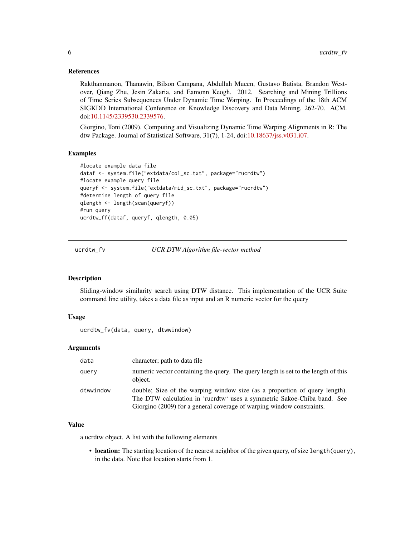#### <span id="page-5-0"></span>References

Rakthanmanon, Thanawin, Bilson Campana, Abdullah Mueen, Gustavo Batista, Brandon Westover, Qiang Zhu, Jesin Zakaria, and Eamonn Keogh. 2012. Searching and Mining Trillions of Time Series Subsequences Under Dynamic Time Warping. In Proceedings of the 18th ACM SIGKDD International Conference on Knowledge Discovery and Data Mining, 262-70. ACM. doi[:10.1145/2339530.2339576.](http://dx.doi.org/10.1145/2339530.2339576)

Giorgino, Toni (2009). Computing and Visualizing Dynamic Time Warping Alignments in R: The dtw Package. Journal of Statistical Software, 31(7), 1-24, doi[:10.18637/jss.v031.i07.](http://dx.doi.org/10.18637/jss.v031.i07)

#### Examples

```
#locate example data file
dataf <- system.file("extdata/col_sc.txt", package="rucrdtw")
#locate example query file
queryf <- system.file("extdata/mid_sc.txt", package="rucrdtw")
#determine length of query file
qlength <- length(scan(queryf))
#run query
ucrdtw_ff(dataf, queryf, qlength, 0.05)
```
<span id="page-5-1"></span>ucrdtw\_fv *UCR DTW Algorithm file-vector method*

#### Description

Sliding-window similarity search using DTW distance. This implementation of the UCR Suite command line utility, takes a data file as input and an R numeric vector for the query

#### Usage

ucrdtw\_fv(data, query, dtwwindow)

#### **Arguments**

| data      | character; path to data file                                                                                                                                                                                                   |
|-----------|--------------------------------------------------------------------------------------------------------------------------------------------------------------------------------------------------------------------------------|
| query     | numeric vector containing the query. The query length is set to the length of this<br>object.                                                                                                                                  |
| dtwwindow | double; Size of the warping window size (as a proportion of query length).<br>The DTW calculation in 'rucrdtw' uses a symmetric Sakoe-Chiba band. See<br>Giorgino (2009) for a general coverage of warping window constraints. |

#### Value

a ucrdtw object. A list with the following elements

• location: The starting location of the nearest neighbor of the given query, of size length(query), in the data. Note that location starts from 1.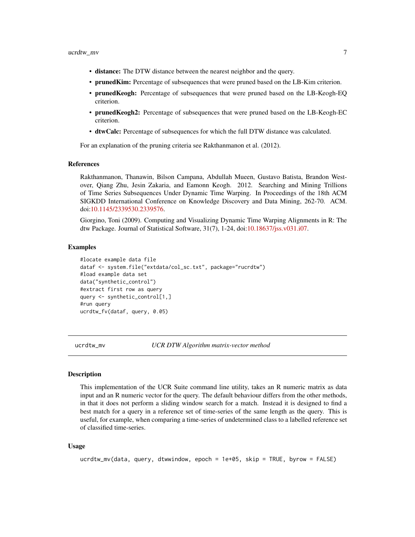- <span id="page-6-0"></span>• distance: The DTW distance between the nearest neighbor and the query.
- prunedKim: Percentage of subsequences that were pruned based on the LB-Kim criterion.
- prunedKeogh: Percentage of subsequences that were pruned based on the LB-Keogh-EQ criterion.
- prunedKeogh2: Percentage of subsequences that were pruned based on the LB-Keogh-EC criterion.
- dtwCalc: Percentage of subsequences for which the full DTW distance was calculated.

For an explanation of the pruning criteria see Rakthanmanon et al. (2012).

#### References

Rakthanmanon, Thanawin, Bilson Campana, Abdullah Mueen, Gustavo Batista, Brandon Westover, Qiang Zhu, Jesin Zakaria, and Eamonn Keogh. 2012. Searching and Mining Trillions of Time Series Subsequences Under Dynamic Time Warping. In Proceedings of the 18th ACM SIGKDD International Conference on Knowledge Discovery and Data Mining, 262-70. ACM. doi[:10.1145/2339530.2339576.](http://dx.doi.org/10.1145/2339530.2339576)

Giorgino, Toni (2009). Computing and Visualizing Dynamic Time Warping Alignments in R: The dtw Package. Journal of Statistical Software, 31(7), 1-24, doi[:10.18637/jss.v031.i07.](http://dx.doi.org/10.18637/jss.v031.i07)

#### Examples

```
#locate example data file
dataf <- system.file("extdata/col_sc.txt", package="rucrdtw")
#load example data set
data("synthetic_control")
#extract first row as query
query <- synthetic_control[1,]
#run query
ucrdtw_fv(dataf, query, 0.05)
```
<span id="page-6-1"></span>

ucrdtw\_mv *UCR DTW Algorithm matrix-vector method*

#### **Description**

This implementation of the UCR Suite command line utility, takes an R numeric matrix as data input and an R numeric vector for the query. The default behaviour differs from the other methods, in that it does not perform a sliding window search for a match. Instead it is designed to find a best match for a query in a reference set of time-series of the same length as the query. This is useful, for example, when comparing a time-series of undetermined class to a labelled reference set of classified time-series.

#### Usage

```
ucrdtw_mv(data, query, dtwwindow, epoch = 1e+05, skip = TRUE, byrow = FALSE)
```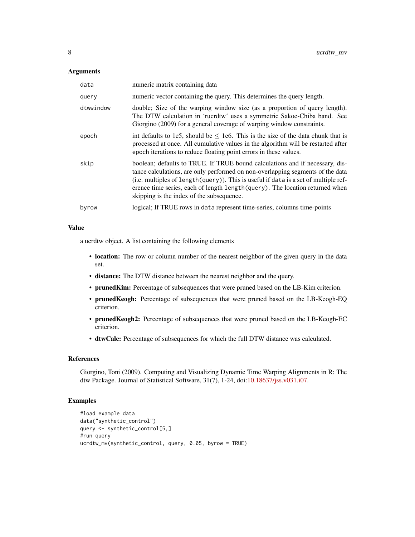#### **Arguments**

| data      | numeric matrix containing data                                                                                                                                                                                                                                                                                                                                                      |
|-----------|-------------------------------------------------------------------------------------------------------------------------------------------------------------------------------------------------------------------------------------------------------------------------------------------------------------------------------------------------------------------------------------|
| query     | numeric vector containing the query. This determines the query length.                                                                                                                                                                                                                                                                                                              |
| dtwwindow | double; Size of the warping window size (as a proportion of query length).<br>The DTW calculation in 'rucrdtw' uses a symmetric Sakoe-Chiba band. See<br>Giorgino (2009) for a general coverage of warping window constraints.                                                                                                                                                      |
| epoch     | int defaults to 1e5, should be $\leq$ 1e6. This is the size of the data chunk that is<br>processed at once. All cumulative values in the algorithm will be restarted after<br>epoch iterations to reduce floating point errors in these values.                                                                                                                                     |
| skip      | boolean; defaults to TRUE. If TRUE bound calculations and if necessary, dis-<br>tance calculations, are only performed on non-overlapping segments of the data<br>(i.e. multiples of length(query)). This is useful if data is a set of multiple ref-<br>erence time series, each of length length (query). The location returned when<br>skipping is the index of the subsequence. |
| byrow     | logical; If TRUE rows in data represent time-series, columns time-points                                                                                                                                                                                                                                                                                                            |

#### Value

a ucrdtw object. A list containing the following elements

- location: The row or column number of the nearest neighbor of the given query in the data set.
- distance: The DTW distance between the nearest neighbor and the query.
- prunedKim: Percentage of subsequences that were pruned based on the LB-Kim criterion.
- prunedKeogh: Percentage of subsequences that were pruned based on the LB-Keogh-EQ criterion.
- prunedKeogh2: Percentage of subsequences that were pruned based on the LB-Keogh-EC criterion.
- dtwCalc: Percentage of subsequences for which the full DTW distance was calculated.

#### References

Giorgino, Toni (2009). Computing and Visualizing Dynamic Time Warping Alignments in R: The dtw Package. Journal of Statistical Software, 31(7), 1-24, doi[:10.18637/jss.v031.i07.](http://dx.doi.org/10.18637/jss.v031.i07)

```
#load example data
data("synthetic_control")
query <- synthetic_control[5,]
#run query
ucrdtw_mv(synthetic_control, query, 0.05, byrow = TRUE)
```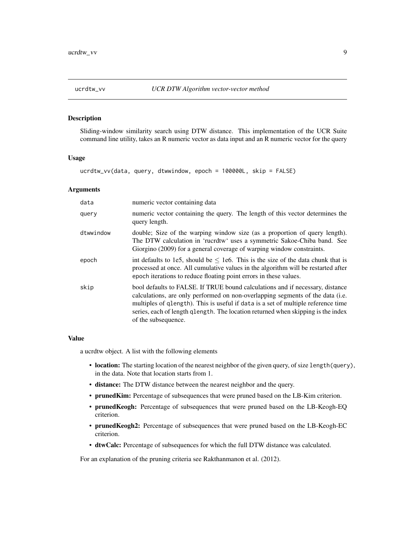<span id="page-8-1"></span><span id="page-8-0"></span>

Sliding-window similarity search using DTW distance. This implementation of the UCR Suite command line utility, takes an R numeric vector as data input and an R numeric vector for the query

#### Usage

ucrdtw\_vv(data, query, dtwwindow, epoch = 100000L, skip = FALSE)

#### Arguments

| data      | numeric vector containing data                                                                                                                                                                                                                                                                                                                                  |
|-----------|-----------------------------------------------------------------------------------------------------------------------------------------------------------------------------------------------------------------------------------------------------------------------------------------------------------------------------------------------------------------|
| query     | numeric vector containing the query. The length of this vector determines the<br>query length.                                                                                                                                                                                                                                                                  |
| dtwwindow | double; Size of the warping window size (as a proportion of query length).<br>The DTW calculation in 'rucrdtw' uses a symmetric Sakoe-Chiba band. See<br>Giorgino (2009) for a general coverage of warping window constraints.                                                                                                                                  |
| epoch     | int defaults to 1e5, should be $\leq$ 1e6. This is the size of the data chunk that is<br>processed at once. All cumulative values in the algorithm will be restarted after<br>epoch iterations to reduce floating point errors in these values.                                                                                                                 |
| skip      | bool defaults to FALSE. If TRUE bound calculations and if necessary, distance<br>calculations, are only performed on non-overlapping segments of the data (i.e.<br>multiples of qlength). This is useful if data is a set of multiple reference time<br>series, each of length qlength. The location returned when skipping is the index<br>of the subsequence. |

#### Value

a ucrdtw object. A list with the following elements

- location: The starting location of the nearest neighbor of the given query, of size length(query), in the data. Note that location starts from 1.
- distance: The DTW distance between the nearest neighbor and the query.
- prunedKim: Percentage of subsequences that were pruned based on the LB-Kim criterion.
- prunedKeogh: Percentage of subsequences that were pruned based on the LB-Keogh-EQ criterion.
- prunedKeogh2: Percentage of subsequences that were pruned based on the LB-Keogh-EC criterion.
- dtwCalc: Percentage of subsequences for which the full DTW distance was calculated.

For an explanation of the pruning criteria see Rakthanmanon et al. (2012).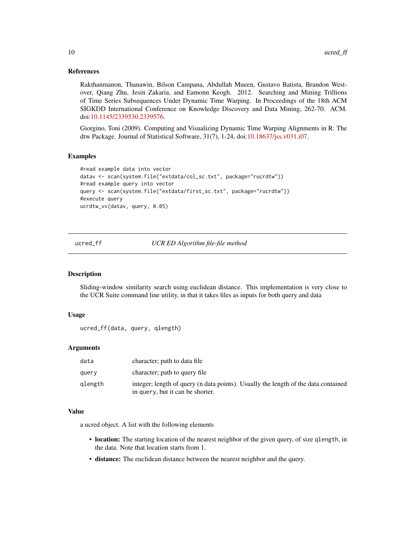#### <span id="page-9-0"></span>References

Rakthanmanon, Thanawin, Bilson Campana, Abdullah Mueen, Gustavo Batista, Brandon Westover, Qiang Zhu, Jesin Zakaria, and Eamonn Keogh. 2012. Searching and Mining Trillions of Time Series Subsequences Under Dynamic Time Warping. In Proceedings of the 18th ACM SIGKDD International Conference on Knowledge Discovery and Data Mining, 262-70. ACM. doi[:10.1145/2339530.2339576.](http://dx.doi.org/10.1145/2339530.2339576)

Giorgino, Toni (2009). Computing and Visualizing Dynamic Time Warping Alignments in R: The dtw Package. Journal of Statistical Software, 31(7), 1-24, doi[:10.18637/jss.v031.i07.](http://dx.doi.org/10.18637/jss.v031.i07)

#### Examples

```
#read example data into vector
datav <- scan(system.file("extdata/col_sc.txt", package="rucrdtw"))
#read example query into vector
query <- scan(system.file("extdata/first_sc.txt", package="rucrdtw"))
#execute query
ucrdtw_vv(datav, query, 0.05)
```
<span id="page-9-1"></span>ucred\_ff *UCR ED Algorithm file-file method*

#### Description

Sliding-window similarity search using euclidean distance. This implementation is very close to the UCR Suite command line utility, in that it takes files as inputs for both query and data

#### Usage

```
ucred_ff(data, query, qlength)
```
#### Arguments

| data    | character; path to data file                                                                                           |
|---------|------------------------------------------------------------------------------------------------------------------------|
| query   | character; path to query file                                                                                          |
| glength | integer; length of query (n data points). Usually the length of the data contained<br>in query, but it can be shorter. |

#### Value

a ucred object. A list with the following elements

- location: The starting location of the nearest neighbor of the given query, of size qlength, in the data. Note that location starts from 1.
- distance: The euclidean distance between the nearest neighbor and the query.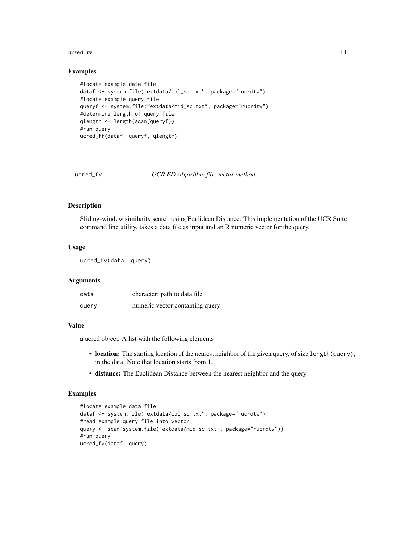#### <span id="page-10-0"></span> $u\text{c}$  and  $f\text{v}$  11

#### Examples

```
#locate example data file
dataf <- system.file("extdata/col_sc.txt", package="rucrdtw")
#locate example query file
queryf <- system.file("extdata/mid_sc.txt", package="rucrdtw")
#determine length of query file
qlength <- length(scan(queryf))
#run query
ucred_ff(dataf, queryf, qlength)
```
<span id="page-10-1"></span>

ucred\_fv *UCR ED Algorithm file-vector method*

#### Description

Sliding-window similarity search using Euclidean Distance. This implementation of the UCR Suite command line utility, takes a data file as input and an R numeric vector for the query.

#### Usage

ucred\_fv(data, query)

#### Arguments

| data  | character; path to data file    |
|-------|---------------------------------|
| query | numeric vector containing query |

#### Value

a ucred object. A list with the following elements

- location: The starting location of the nearest neighbor of the given query, of size length(query), in the data. Note that location starts from 1.
- distance: The Euclidean Distance between the nearest neighbor and the query.

```
#locate example data file
dataf <- system.file("extdata/col_sc.txt", package="rucrdtw")
#read example query file into vector
query <- scan(system.file("extdata/mid_sc.txt", package="rucrdtw"))
#run query
ucred_fv(dataf, query)
```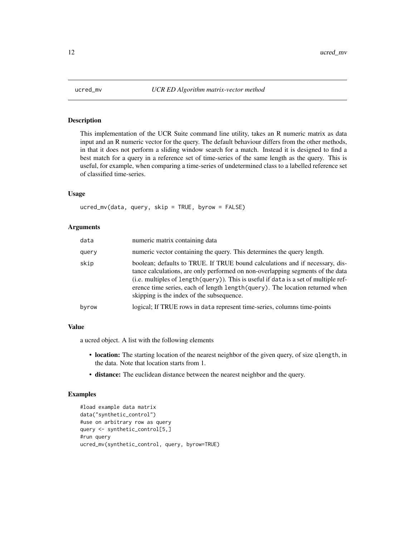<span id="page-11-1"></span><span id="page-11-0"></span>

This implementation of the UCR Suite command line utility, takes an R numeric matrix as data input and an R numeric vector for the query. The default behaviour differs from the other methods, in that it does not perform a sliding window search for a match. Instead it is designed to find a best match for a query in a reference set of time-series of the same length as the query. This is useful, for example, when comparing a time-series of undetermined class to a labelled reference set of classified time-series.

#### Usage

ucred\_mv(data, query, skip = TRUE, byrow = FALSE)

#### Arguments

| data  | numeric matrix containing data                                                                                                                                                                                                                                                                                                                                                      |
|-------|-------------------------------------------------------------------------------------------------------------------------------------------------------------------------------------------------------------------------------------------------------------------------------------------------------------------------------------------------------------------------------------|
| query | numeric vector containing the query. This determines the query length.                                                                                                                                                                                                                                                                                                              |
| skip  | boolean; defaults to TRUE. If TRUE bound calculations and if necessary, dis-<br>tance calculations, are only performed on non-overlapping segments of the data<br>(i.e. multiples of length(query)). This is useful if data is a set of multiple ref-<br>erence time series, each of length length (query). The location returned when<br>skipping is the index of the subsequence. |
| byrow | logical; If TRUE rows in data represent time-series, columns time-points                                                                                                                                                                                                                                                                                                            |

#### Value

a ucred object. A list with the following elements

- location: The starting location of the nearest neighbor of the given query, of size qlength, in the data. Note that location starts from 1.
- distance: The euclidean distance between the nearest neighbor and the query.

```
#load example data matrix
data("synthetic_control")
#use on arbitrary row as query
query <- synthetic_control[5,]
#run query
ucred_mv(synthetic_control, query, byrow=TRUE)
```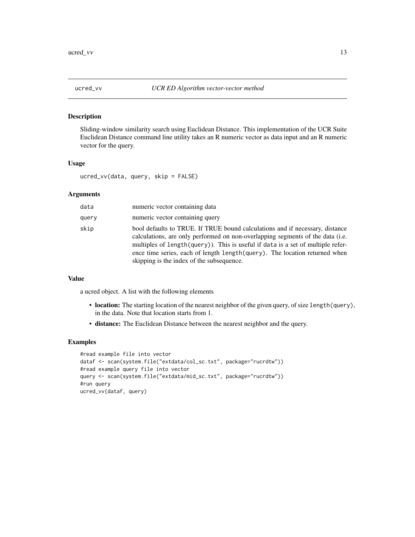<span id="page-12-1"></span><span id="page-12-0"></span>

Sliding-window similarity search using Euclidean Distance. This implementation of the UCR Suite Euclidean Distance command line utility takes an R numeric vector as data input and an R numeric vector for the query.

#### Usage

```
ucred_vv(data, query, skip = FALSE)
```
#### Arguments

| data  | numeric vector containing data                                                                                                                                                                                                                                                                                                                                                |
|-------|-------------------------------------------------------------------------------------------------------------------------------------------------------------------------------------------------------------------------------------------------------------------------------------------------------------------------------------------------------------------------------|
| query | numeric vector containing query                                                                                                                                                                                                                                                                                                                                               |
| skip  | bool defaults to TRUE. If TRUE bound calculations and if necessary, distance<br>calculations, are only performed on non-overlapping segments of the data (i.e.<br>multiples of length(query)). This is useful if data is a set of multiple refer-<br>ence time series, each of length length (query). The location returned when<br>skipping is the index of the subsequence. |

#### Value

a ucred object. A list with the following elements

- location: The starting location of the nearest neighbor of the given query, of size length(query), in the data. Note that location starts from 1.
- distance: The Euclidean Distance between the nearest neighbor and the query.

```
#read example file into vector
dataf <- scan(system.file("extdata/col_sc.txt", package="rucrdtw"))
#read example query file into vector
query <- scan(system.file("extdata/mid_sc.txt", package="rucrdtw"))
#run query
ucred_vv(dataf, query)
```